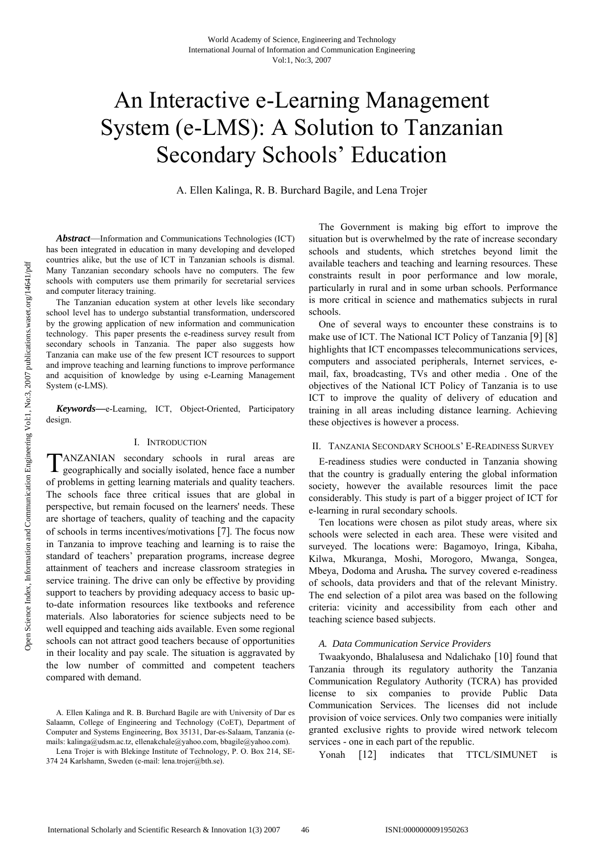# An Interactive e-Learning Management System (e-LMS): A Solution to Tanzanian Secondary Schools' Education

A. Ellen Kalinga, R. B. Burchard Bagile, and Lena Trojer

*Abstract*—Information and Communications Technologies (ICT) has been integrated in education in many developing and developed countries alike, but the use of ICT in Tanzanian schools is dismal. Many Tanzanian secondary schools have no computers. The few schools with computers use them primarily for secretarial services and computer literacy training.

The Tanzanian education system at other levels like secondary school level has to undergo substantial transformation, underscored by the growing application of new information and communication technology. This paper presents the e-readiness survey result from secondary schools in Tanzania. The paper also suggests how Tanzania can make use of the few present ICT resources to support and improve teaching and learning functions to improve performance and acquisition of knowledge by using e-Learning Management System (e-LMS).

*Keywords***—**e-Learning, ICT, Object-Oriented, Participatory design.

## I. INTRODUCTION

ANZANIAN secondary schools in rural areas are TANZANIAN secondary schools in rural areas are geographically and socially isolated, hence face a number of problems in getting learning materials and quality teachers. The schools face three critical issues that are global in perspective, but remain focused on the learners' needs. These are shortage of teachers, quality of teaching and the capacity of schools in terms incentives/motivations [7]. The focus now in Tanzania to improve teaching and learning is to raise the standard of teachers' preparation programs, increase degree attainment of teachers and increase classroom strategies in service training. The drive can only be effective by providing support to teachers by providing adequacy access to basic upto-date information resources like textbooks and reference materials. Also laboratories for science subjects need to be well equipped and teaching aids available. Even some regional schools can not attract good teachers because of opportunities in their locality and pay scale. The situation is aggravated by the low number of committed and competent teachers compared with demand.

The Government is making big effort to improve the situation but is overwhelmed by the rate of increase secondary schools and students, which stretches beyond limit the available teachers and teaching and learning resources. These constraints result in poor performance and low morale, particularly in rural and in some urban schools. Performance is more critical in science and mathematics subjects in rural schools.

One of several ways to encounter these constrains is to make use of ICT. The National ICT Policy of Tanzania [9] [8] highlights that ICT encompasses telecommunications services, computers and associated peripherals, Internet services, email, fax, broadcasting, TVs and other media . One of the objectives of the National ICT Policy of Tanzania is to use ICT to improve the quality of delivery of education and training in all areas including distance learning. Achieving these objectives is however a process.

#### II. TANZANIA SECONDARY SCHOOLS' E-READINESS SURVEY

E-readiness studies were conducted in Tanzania showing that the country is gradually entering the global information society, however the available resources limit the pace considerably. This study is part of a bigger project of ICT for e-learning in rural secondary schools.

Ten locations were chosen as pilot study areas, where six schools were selected in each area. These were visited and surveyed. The locations were: Bagamoyo, Iringa, Kibaha, Kilwa, Mkuranga, Moshi, Morogoro, Mwanga, Songea, Mbeya, Dodoma and Arusha*.* The survey covered e-readiness of schools, data providers and that of the relevant Ministry. The end selection of a pilot area was based on the following criteria: vicinity and accessibility from each other and teaching science based subjects.

#### *A. Data Communication Service Providers*

Twaakyondo, Bhalalusesa and Ndalichako [10] found that Tanzania through its regulatory authority the Tanzania Communication Regulatory Authority (TCRA) has provided license to six companies to provide Public Data Communication Services. The licenses did not include provision of voice services. Only two companies were initially granted exclusive rights to provide wired network telecom services - one in each part of the republic.

Yonah [12] indicates that TTCL/SIMUNET is

A. Ellen Kalinga and R. B. Burchard Bagile are with University of Dar es Salaamn, College of Engineering and Technology (CoET), Department of Computer and Systems Engineering, Box 35131, Dar-es-Salaam, Tanzania (emails: kalinga@udsm.ac.tz, ellenakchale@yahoo.com, bbagile@yahoo.com).

Lena Trojer is with Blekinge Institute of Technology, P. O. Box 214, SE-374 24 Karlshamn, Sweden (e-mail: lena.trojer@bth.se).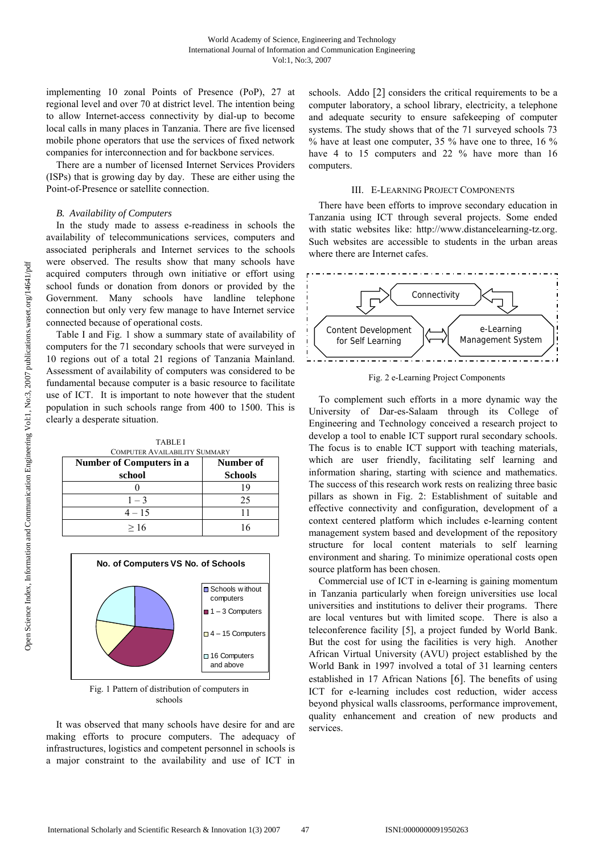implementing 10 zonal Points of Presence (PoP), 27 at regional level and over 70 at district level. The intention being to allow Internet-access connectivity by dial-up to become local calls in many places in Tanzania. There are five licensed mobile phone operators that use the services of fixed network companies for interconnection and for backbone services.

There are a number of licensed Internet Services Providers (ISPs) that is growing day by day. These are either using the Point-of-Presence or satellite connection.

## *B. Availability of Computers*

In the study made to assess e-readiness in schools the availability of telecommunications services, computers and associated peripherals and Internet services to the schools were observed. The results show that many schools have acquired computers through own initiative or effort using school funds or donation from donors or provided by the Government. Many schools have landline telephone connection but only very few manage to have Internet service connected because of operational costs.

Table I and Fig. 1 show a summary state of availability of computers for the 71 secondary schools that were surveyed in 10 regions out of a total 21 regions of Tanzania Mainland. Assessment of availability of computers was considered to be fundamental because computer is a basic resource to facilitate use of ICT. It is important to note however that the student population in such schools range from 400 to 1500. This is clearly a desperate situation.

TABLE I

| <b>COMPUTER AVAILABILITY SUMMARY</b> |                |
|--------------------------------------|----------------|
| <b>Number of Computers in a</b>      | Number of      |
| school                               | <b>Schools</b> |
|                                      | 19             |
| $1 - 3$                              | 25             |
| $4 - 15$                             |                |
| >16                                  |                |



Fig. 1 Pattern of distribution of computers in schools

It was observed that many schools have desire for and are making efforts to procure computers. The adequacy of infrastructures, logistics and competent personnel in schools is a major constraint to the availability and use of ICT in

schools. Addo [2] considers the critical requirements to be a computer laboratory, a school library, electricity, a telephone and adequate security to ensure safekeeping of computer systems. The study shows that of the 71 surveyed schools 73 % have at least one computer, 35 % have one to three, 16 % have 4 to 15 computers and 22 % have more than 16 computers.

## III. E-LEARNING PROJECT COMPONENTS

There have been efforts to improve secondary education in Tanzania using ICT through several projects. Some ended with static websites like: http://www.distancelearning-tz.org. Such websites are accessible to students in the urban areas where there are Internet cafes.



Fig. 2 e-Learning Project Components

To complement such efforts in a more dynamic way the University of Dar-es-Salaam through its College of Engineering and Technology conceived a research project to develop a tool to enable ICT support rural secondary schools. The focus is to enable ICT support with teaching materials, which are user friendly, facilitating self learning and information sharing, starting with science and mathematics. The success of this research work rests on realizing three basic pillars as shown in Fig. 2: Establishment of suitable and effective connectivity and configuration, development of a context centered platform which includes e-learning content management system based and development of the repository structure for local content materials to self learning environment and sharing. To minimize operational costs open source platform has been chosen.

Commercial use of ICT in e-learning is gaining momentum in Tanzania particularly when foreign universities use local universities and institutions to deliver their programs. There are local ventures but with limited scope. There is also a teleconference facility [5], a project funded by World Bank. But the cost for using the facilities is very high. Another African Virtual University (AVU) project established by the World Bank in 1997 involved a total of 31 learning centers established in 17 African Nations [6]. The benefits of using ICT for e-learning includes cost reduction, wider access beyond physical walls classrooms, performance improvement, quality enhancement and creation of new products and services.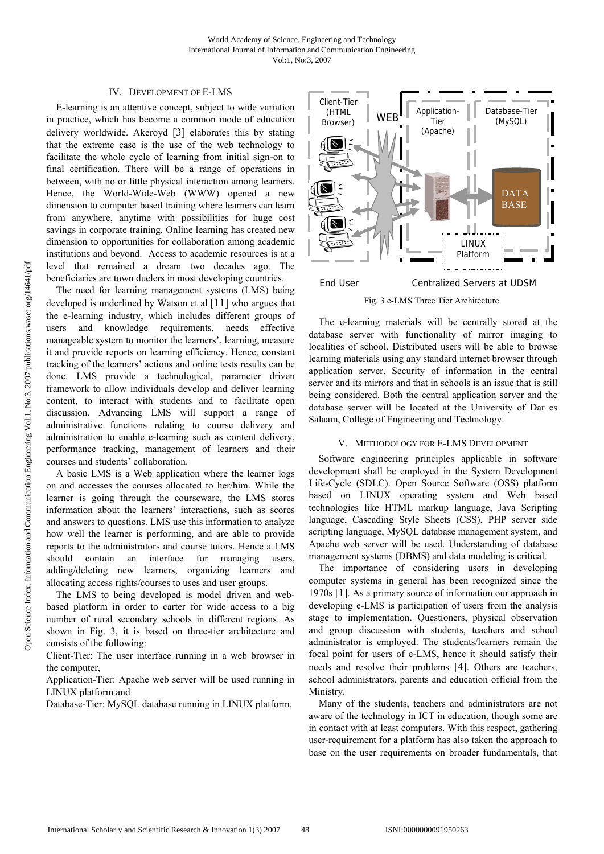## IV. DEVELOPMENT OF E-LMS

E-learning is an attentive concept, subject to wide variation in practice, which has become a common mode of education delivery worldwide. Akeroyd [3] elaborates this by stating that the extreme case is the use of the web technology to facilitate the whole cycle of learning from initial sign-on to final certification. There will be a range of operations in between, with no or little physical interaction among learners. Hence, the World-Wide-Web (WWW) opened a new dimension to computer based training where learners can learn from anywhere, anytime with possibilities for huge cost savings in corporate training. Online learning has created new dimension to opportunities for collaboration among academic institutions and beyond. Access to academic resources is at a level that remained a dream two decades ago. The beneficiaries are town duelers in most developing countries.

The need for learning management systems (LMS) being developed is underlined by Watson et al [11] who argues that the e-learning industry, which includes different groups of users and knowledge requirements, needs effective manageable system to monitor the learners', learning, measure it and provide reports on learning efficiency. Hence, constant tracking of the learners' actions and online tests results can be done. LMS provide a technological, parameter driven framework to allow individuals develop and deliver learning content, to interact with students and to facilitate open discussion. Advancing LMS will support a range of administrative functions relating to course delivery and administration to enable e-learning such as content delivery, performance tracking, management of learners and their courses and students' collaboration.

A basic LMS is a Web application where the learner logs on and accesses the courses allocated to her/him. While the learner is going through the courseware, the LMS stores information about the learners' interactions, such as scores and answers to questions. LMS use this information to analyze how well the learner is performing, and are able to provide reports to the administrators and course tutors. Hence a LMS should contain an interface for managing users, adding/deleting new learners, organizing learners and allocating access rights/courses to uses and user groups.

The LMS to being developed is model driven and webbased platform in order to carter for wide access to a big number of rural secondary schools in different regions. As shown in Fig. 3, it is based on three-tier architecture and consists of the following:

Client-Tier: The user interface running in a web browser in the computer,

Application-Tier: Apache web server will be used running in LINUX platform and

Database-Tier: MySQL database running in LINUX platform.



Fig. 3 e-LMS Three Tier Architecture

The e-learning materials will be centrally stored at the database server with functionality of mirror imaging to localities of school. Distributed users will be able to browse learning materials using any standard internet browser through application server. Security of information in the central server and its mirrors and that in schools is an issue that is still being considered. Both the central application server and the database server will be located at the University of Dar es Salaam, College of Engineering and Technology.

## V. METHODOLOGY FOR E-LMS DEVELOPMENT

Software engineering principles applicable in software development shall be employed in the System Development Life-Cycle (SDLC). Open Source Software (OSS) platform based on LINUX operating system and Web based technologies like HTML markup language, Java Scripting language, Cascading Style Sheets (CSS), PHP server side scripting language, MySQL database management system, and Apache web server will be used. Understanding of database management systems (DBMS) and data modeling is critical.

The importance of considering users in developing computer systems in general has been recognized since the 1970s [1]. As a primary source of information our approach in developing e-LMS is participation of users from the analysis stage to implementation. Questioners, physical observation and group discussion with students, teachers and school administrator is employed. The students/learners remain the focal point for users of e-LMS, hence it should satisfy their needs and resolve their problems [4]. Others are teachers, school administrators, parents and education official from the Ministry.

Many of the students, teachers and administrators are not aware of the technology in ICT in education, though some are in contact with at least computers. With this respect, gathering user-requirement for a platform has also taken the approach to base on the user requirements on broader fundamentals, that